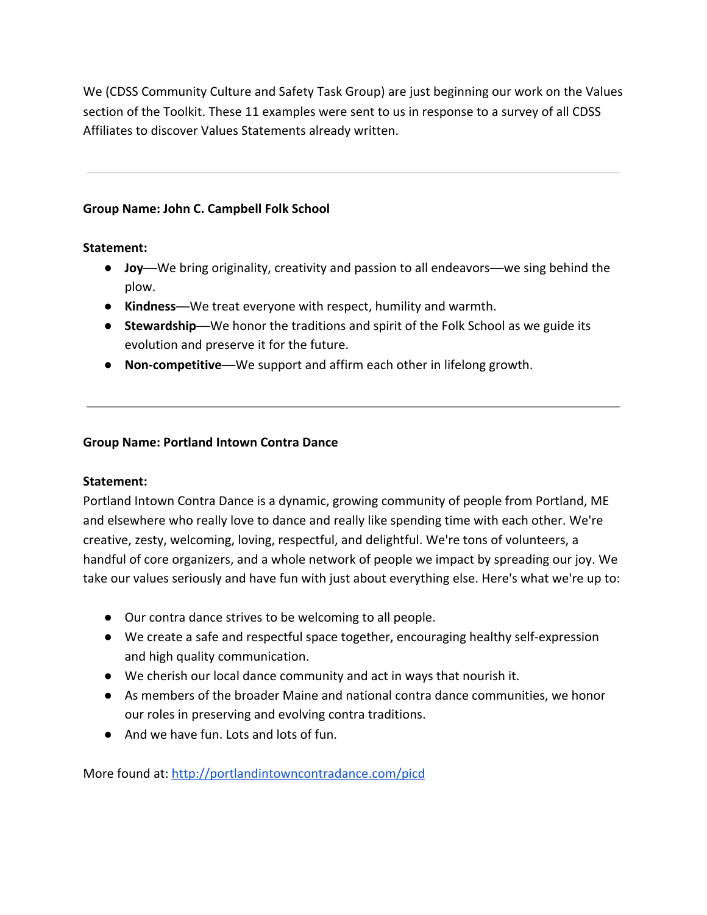We (CDSS Community Culture and Safety Task Group) are just beginning our work on the Values section of the Toolkit. These 11 examples were sent to us in response to a survey of all CDSS Affiliates to discover Values Statements already written.

## **Group Name: John C. Campbell Folk School**

### **Statement:**

- **Joy**—We bring originality, creativity and passion to all endeavors—we sing behind the plow.
- **Kindness**―We treat everyone with respect, humility and warmth.
- **Stewardship**—We honor the traditions and spirit of the Folk School as we guide its evolution and preserve it for the future.
- **Non-competitive**―We support and affirm each other in lifelong growth.

### **Group Name: Portland Intown Contra Dance**

### **Statement:**

Portland Intown Contra Dance is a dynamic, growing community of people from Portland, ME and elsewhere who really love to dance and really like spending time with each other. We're creative, zesty, welcoming, loving, respectful, and delightful. We're tons of volunteers, a handful of core organizers, and a whole network of people we impact by spreading our joy. We take our values seriously and have fun with just about everything else. Here's what we're up to:

- Our contra dance strives to be welcoming to all people.
- We create a safe and respectful space together, encouraging healthy self-expression and high quality communication.
- We cherish our local dance community and act in ways that nourish it.
- As members of the broader Maine and national contra dance communities, we honor our roles in preserving and evolving contra traditions.
- And we have fun. Lots and lots of fun.

More found at:<http://portlandintowncontradance.com/picd>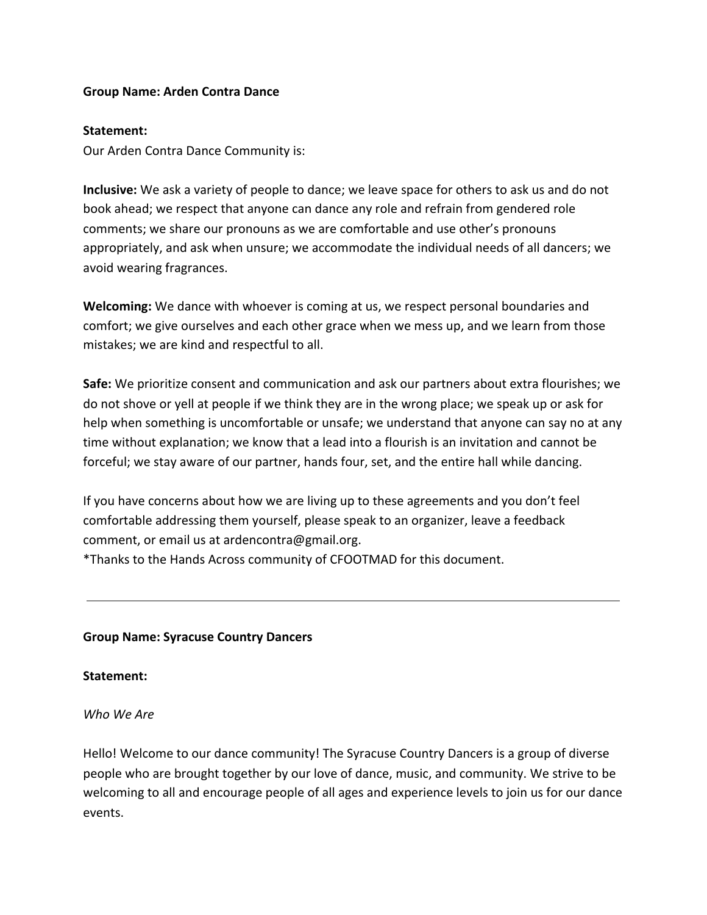### **Group Name: Arden Contra Dance**

### **Statement:**

Our Arden Contra Dance Community is:

**Inclusive:** We ask a variety of people to dance; we leave space for others to ask us and do not book ahead; we respect that anyone can dance any role and refrain from gendered role comments; we share our pronouns as we are comfortable and use other's pronouns appropriately, and ask when unsure; we accommodate the individual needs of all dancers; we avoid wearing fragrances.

**Welcoming:** We dance with whoever is coming at us, we respect personal boundaries and comfort; we give ourselves and each other grace when we mess up, and we learn from those mistakes; we are kind and respectful to all.

**Safe:** We prioritize consent and communication and ask our partners about extra flourishes; we do not shove or yell at people if we think they are in the wrong place; we speak up or ask for help when something is uncomfortable or unsafe; we understand that anyone can say no at any time without explanation; we know that a lead into a flourish is an invitation and cannot be forceful; we stay aware of our partner, hands four, set, and the entire hall while dancing.

If you have concerns about how we are living up to these agreements and you don't feel comfortable addressing them yourself, please speak to an organizer, leave a feedback comment, or email us at ardencontra@gmail.org.

\*Thanks to the Hands Across community of CFOOTMAD for this document.

### **Group Name: Syracuse Country Dancers**

### **Statement:**

*Who We Are*

Hello! Welcome to our dance community! The Syracuse Country Dancers is a group of diverse people who are brought together by our love of dance, music, and community. We strive to be welcoming to all and encourage people of all ages and experience levels to join us for our dance events.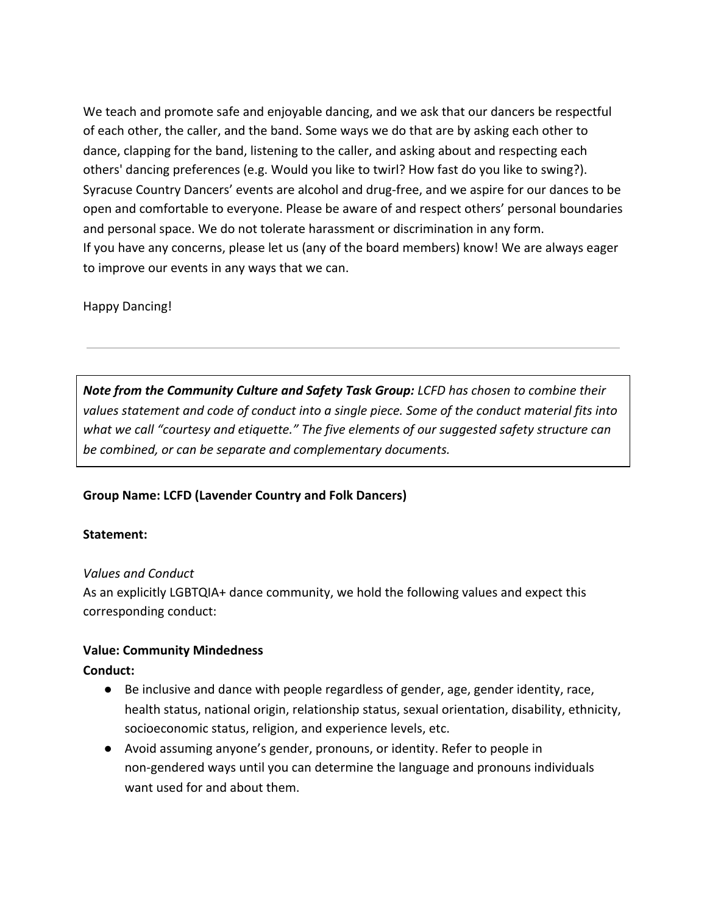We teach and promote safe and enjoyable dancing, and we ask that our dancers be respectful of each other, the caller, and the band. Some ways we do that are by asking each other to dance, clapping for the band, listening to the caller, and asking about and respecting each others' dancing preferences (e.g. Would you like to twirl? How fast do you like to swing?). Syracuse Country Dancers' events are alcohol and drug-free, and we aspire for our dances to be open and comfortable to everyone. Please be aware of and respect others' personal boundaries and personal space. We do not tolerate harassment or discrimination in any form. If you have any concerns, please let us (any of the board members) know! We are always eager to improve our events in any ways that we can.

# Happy Dancing!

*Note from the Community Culture and Safety Task Group: LCFD has chosen to combine their values statement and code of conduct into a single piece. Some of the conduct material fits into what we call "courtesy and etiquette." The five elements of our suggested safety structure can be combined, or can be separate and complementary documents.*

# **Group Name: LCFD (Lavender Country and Folk Dancers)**

# **Statement:**

### *Values and Conduct*

As an explicitly LGBTQIA+ dance community, we hold the following values and expect this corresponding conduct:

# **Value: Community Mindedness**

# **Conduct:**

- Be inclusive and dance with people regardless of gender, age, gender identity, race, health status, national origin, relationship status, sexual orientation, disability, ethnicity, socioeconomic status, religion, and experience levels, etc.
- Avoid assuming anyone's gender, pronouns, or identity. Refer to people in non-gendered ways until you can determine the language and pronouns individuals want used for and about them.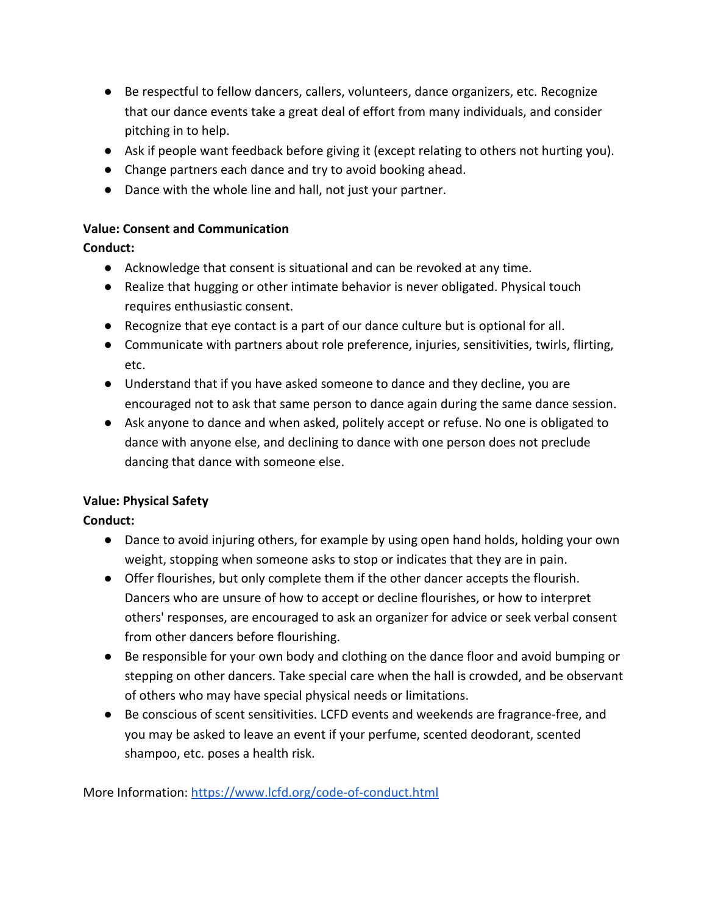- Be respectful to fellow dancers, callers, volunteers, dance organizers, etc. Recognize that our dance events take a great deal of effort from many individuals, and consider pitching in to help.
- Ask if people want feedback before giving it (except relating to others not hurting you).
- Change partners each dance and try to avoid booking ahead.
- Dance with the whole line and hall, not just your partner.

# **Value: Consent and Communication**

**Conduct:**

- Acknowledge that consent is situational and can be revoked at any time.
- Realize that hugging or other intimate behavior is never obligated. Physical touch requires enthusiastic consent.
- Recognize that eye contact is a part of our dance culture but is optional for all.
- Communicate with partners about role preference, injuries, sensitivities, twirls, flirting, etc.
- Understand that if you have asked someone to dance and they decline, you are encouraged not to ask that same person to dance again during the same dance session.
- Ask anyone to dance and when asked, politely accept or refuse. No one is obligated to dance with anyone else, and declining to dance with one person does not preclude dancing that dance with someone else.

# **Value: Physical Safety**

# **Conduct:**

- Dance to avoid injuring others, for example by using open hand holds, holding your own weight, stopping when someone asks to stop or indicates that they are in pain.
- Offer flourishes, but only complete them if the other dancer accepts the flourish. Dancers who are unsure of how to accept or decline flourishes, or how to interpret others' responses, are encouraged to ask an organizer for advice or seek verbal consent from other dancers before flourishing.
- Be responsible for your own body and clothing on the dance floor and avoid bumping or stepping on other dancers. Take special care when the hall is crowded, and be observant of others who may have special physical needs or limitations.
- Be conscious of scent sensitivities. LCFD events and weekends are fragrance-free, and you may be asked to leave an event if your perfume, scented deodorant, scented shampoo, etc. poses a health risk.

More Information: <https://www.lcfd.org/code-of-conduct.html>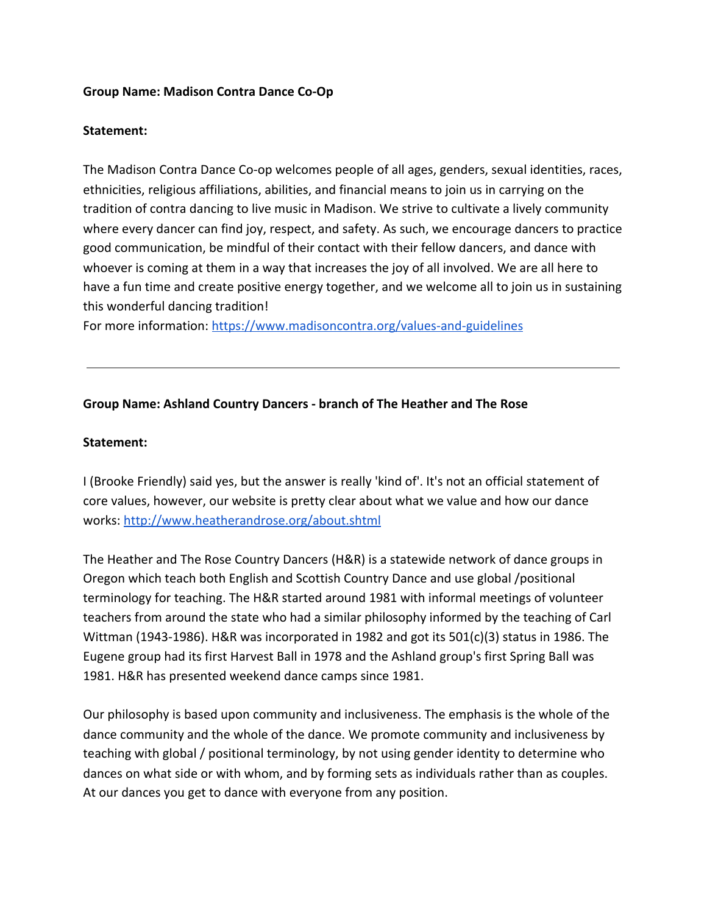### **Group Name: Madison Contra Dance Co-Op**

### **Statement:**

The Madison Contra Dance Co-op welcomes people of all ages, genders, sexual identities, races, ethnicities, religious affiliations, abilities, and financial means to join us in carrying on the tradition of contra dancing to live music in Madison. We strive to cultivate a lively community where every dancer can find joy, respect, and safety. As such, we encourage dancers to practice good communication, be mindful of their contact with their fellow dancers, and dance with whoever is coming at them in a way that increases the joy of all involved. We are all here to have a fun time and create positive energy together, and we welcome all to join us in sustaining this wonderful dancing tradition!

For more information: <https://www.madisoncontra.org/values-and-guidelines>

### **Group Name: Ashland Country Dancers - branch of The Heather and The Rose**

### **Statement:**

I (Brooke Friendly) said yes, but the answer is really 'kind of'. It's not an official statement of core values, however, our website is pretty clear about what we value and how our dance works:<http://www.heatherandrose.org/about.shtml>

The Heather and The Rose Country Dancers (H&R) is a statewide network of dance groups in Oregon which teach both English and Scottish Country Dance and use global /positional terminology for teaching. The H&R started around 1981 with informal meetings of volunteer teachers from around the state who had a similar philosophy informed by the teaching of Carl Wittman (1943-1986). H&R was incorporated in 1982 and got its 501(c)(3) status in 1986. The Eugene group had its first Harvest Ball in 1978 and the Ashland group's first Spring Ball was 1981. H&R has presented weekend dance camps since 1981.

Our philosophy is based upon community and inclusiveness. The emphasis is the whole of the dance community and the whole of the dance. We promote community and inclusiveness by teaching with global / positional terminology, by not using gender identity to determine who dances on what side or with whom, and by forming sets as individuals rather than as couples. At our dances you get to dance with everyone from any position.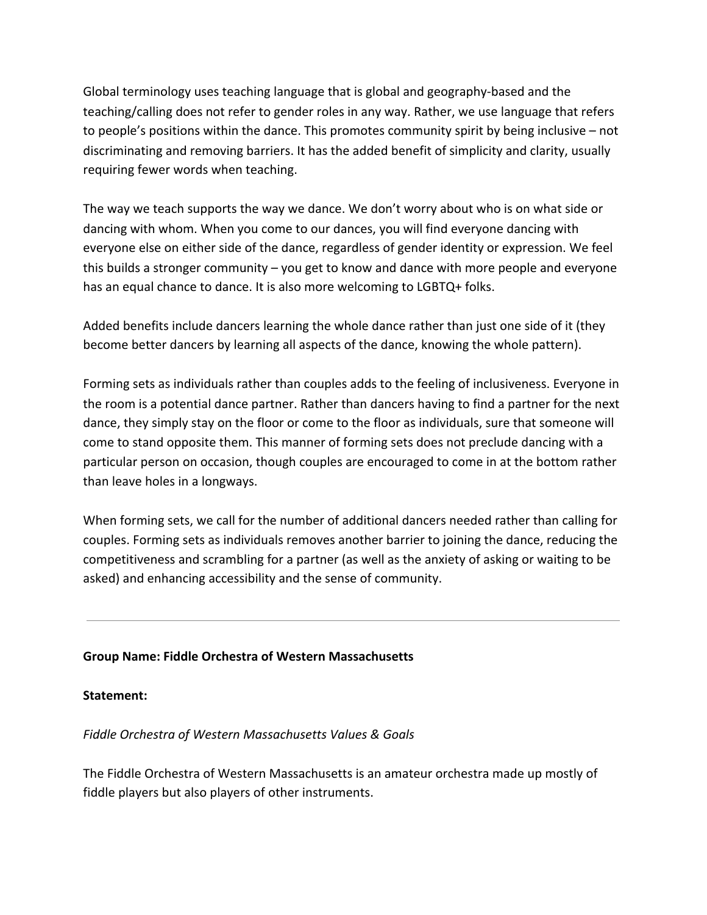Global terminology uses teaching language that is global and geography-based and the teaching/calling does not refer to gender roles in any way. Rather, we use language that refers to people's positions within the dance. This promotes community spirit by being inclusive – not discriminating and removing barriers. It has the added benefit of simplicity and clarity, usually requiring fewer words when teaching.

The way we teach supports the way we dance. We don't worry about who is on what side or dancing with whom. When you come to our dances, you will find everyone dancing with everyone else on either side of the dance, regardless of gender identity or expression. We feel this builds a stronger community – you get to know and dance with more people and everyone has an equal chance to dance. It is also more welcoming to LGBTQ+ folks.

Added benefits include dancers learning the whole dance rather than just one side of it (they become better dancers by learning all aspects of the dance, knowing the whole pattern).

Forming sets as individuals rather than couples adds to the feeling of inclusiveness. Everyone in the room is a potential dance partner. Rather than dancers having to find a partner for the next dance, they simply stay on the floor or come to the floor as individuals, sure that someone will come to stand opposite them. This manner of forming sets does not preclude dancing with a particular person on occasion, though couples are encouraged to come in at the bottom rather than leave holes in a longways.

When forming sets, we call for the number of additional dancers needed rather than calling for couples. Forming sets as individuals removes another barrier to joining the dance, reducing the competitiveness and scrambling for a partner (as well as the anxiety of asking or waiting to be asked) and enhancing accessibility and the sense of community.

# **Group Name: Fiddle Orchestra of Western Massachusetts**

### **Statement:**

*Fiddle Orchestra of Western Massachusetts Values & Goals*

The Fiddle Orchestra of Western Massachusetts is an amateur orchestra made up mostly of fiddle players but also players of other instruments.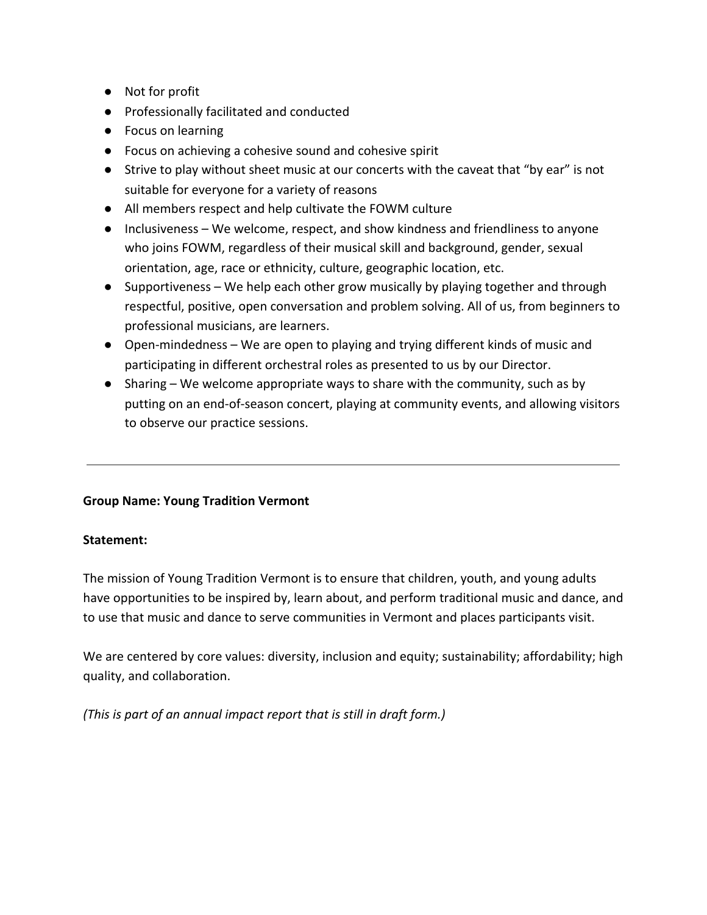- Not for profit
- Professionally facilitated and conducted
- Focus on learning
- Focus on achieving a cohesive sound and cohesive spirit
- Strive to play without sheet music at our concerts with the caveat that "by ear" is not suitable for everyone for a variety of reasons
- All members respect and help cultivate the FOWM culture
- Inclusiveness We welcome, respect, and show kindness and friendliness to anyone who joins FOWM, regardless of their musical skill and background, gender, sexual orientation, age, race or ethnicity, culture, geographic location, etc.
- Supportiveness We help each other grow musically by playing together and through respectful, positive, open conversation and problem solving. All of us, from beginners to professional musicians, are learners.
- Open-mindedness We are open to playing and trying different kinds of music and participating in different orchestral roles as presented to us by our Director.
- Sharing We welcome appropriate ways to share with the community, such as by putting on an end-of-season concert, playing at community events, and allowing visitors to observe our practice sessions.

# **Group Name: Young Tradition Vermont**

# **Statement:**

The mission of Young Tradition Vermont is to ensure that children, youth, and young adults have opportunities to be inspired by, learn about, and perform traditional music and dance, and to use that music and dance to serve communities in Vermont and places participants visit.

We are centered by core values: diversity, inclusion and equity; sustainability; affordability; high quality, and collaboration.

*(This is part of an annual impact report that is still in draft form.)*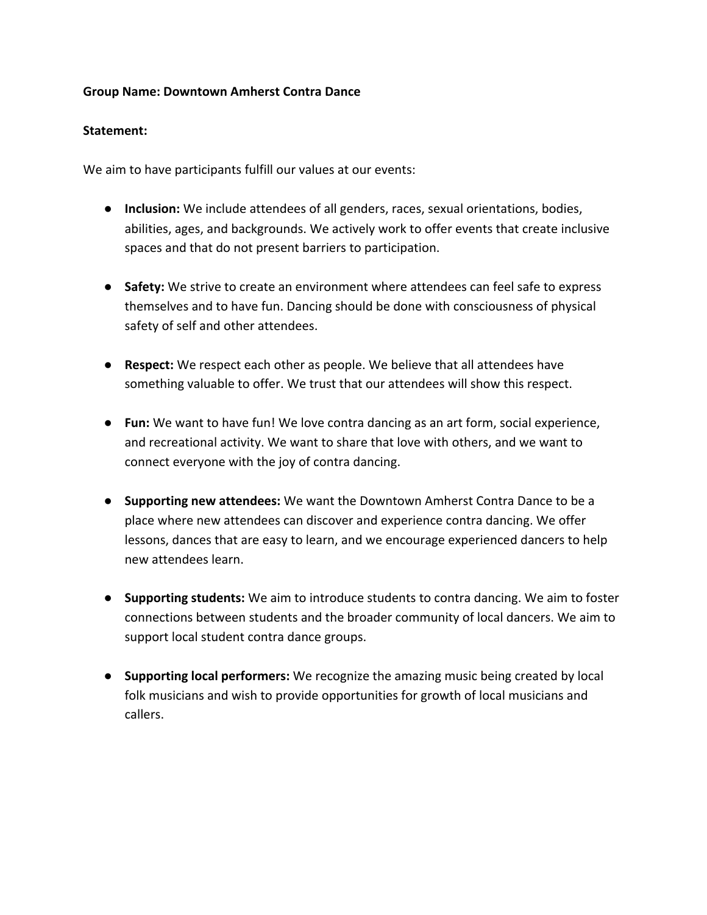## **Group Name: Downtown Amherst Contra Dance**

## **Statement:**

We aim to have participants fulfill our values at our events:

- **Inclusion:** We include attendees of all genders, races, sexual orientations, bodies, abilities, ages, and backgrounds. We actively work to offer events that create inclusive spaces and that do not present barriers to participation.
- **Safety:** We strive to create an environment where attendees can feel safe to express themselves and to have fun. Dancing should be done with consciousness of physical safety of self and other attendees.
- **Respect:** We respect each other as people. We believe that all attendees have something valuable to offer. We trust that our attendees will show this respect.
- **Fun:** We want to have fun! We love contra dancing as an art form, social experience, and recreational activity. We want to share that love with others, and we want to connect everyone with the joy of contra dancing.
- **Supporting new attendees:** We want the Downtown Amherst Contra Dance to be a place where new attendees can discover and experience contra dancing. We offer lessons, dances that are easy to learn, and we encourage experienced dancers to help new attendees learn.
- **Supporting students:** We aim to introduce students to contra dancing. We aim to foster connections between students and the broader community of local dancers. We aim to support local student contra dance groups.
- **Supporting local performers:** We recognize the amazing music being created by local folk musicians and wish to provide opportunities for growth of local musicians and callers.